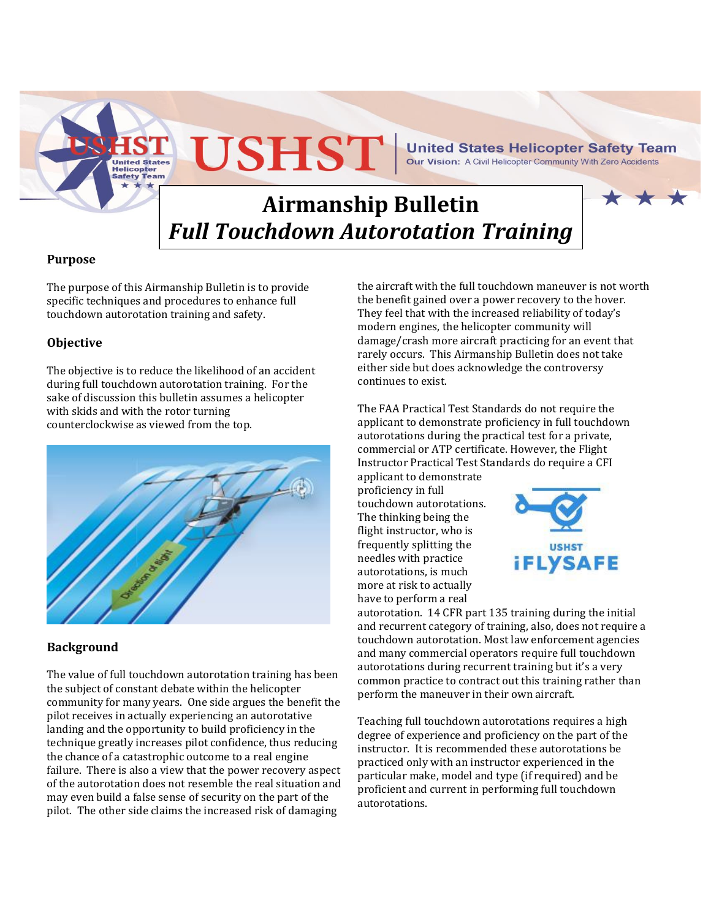**USHST** 

**United States Helicopter Safety Team** Our Vision: A Civil Helicopter Community With Zero Accidents

# **Airmanship Bulletin** *Full Touchdown Autorotation Training*

# **Purpose**

The purpose of this Airmanship Bulletin is to provide specific techniques and procedures to enhance full touchdown autorotation training and safety.

Helicopter afety

## **Objective**

The objective is to reduce the likelihood of an accident during full touchdown autorotation training. For the sake of discussion this bulletin assumes a helicopter with skids and with the rotor turning counterclockwise as viewed from the top.



#### **Background**

The value of full touchdown autorotation training has been the subject of constant debate within the helicopter community for many years. One side argues the benefit the pilot receives in actually experiencing an autorotative landing and the opportunity to build proficiency in the technique greatly increases pilot confidence, thus reducing the chance of a catastrophic outcome to a real engine failure. There is also a view that the power recovery aspect of the autorotation does not resemble the real situation and may even build a false sense of security on the part of the pilot. The other side claims the increased risk of damaging

the aircraft with the full touchdown maneuver is not worth the benefit gained over a power recovery to the hover. They feel that with the increased reliability of today's modern engines, the helicopter community will damage/crash more aircraft practicing for an event that rarely occurs. This Airmanship Bulletin does not take either side but does acknowledge the controversy continues to exist.

The FAA Practical Test Standards do not require the applicant to demonstrate proficiency in full touchdown autorotations during the practical test for a private, commercial or ATP certificate. However, the Flight Instructor Practical Test Standards do require a CFI

applicant to demonstrate proficiency in full touchdown autorotations. The thinking being the flight instructor, who is frequently splitting the needles with practice autorotations, is much more at risk to actually have to perform a real



autorotation. 14 CFR part 135 training during the initial and recurrent category of training, also, does not require a touchdown autorotation. Most law enforcement agencies and many commercial operators require full touchdown autorotations during recurrent training but it's a very common practice to contract out this training rather than perform the maneuver in their own aircraft.

Teaching full touchdown autorotations requires a high degree of experience and proficiency on the part of the instructor. It is recommended these autorotations be practiced only with an instructor experienced in the particular make, model and type (if required) and be proficient and current in performing full touchdown autorotations.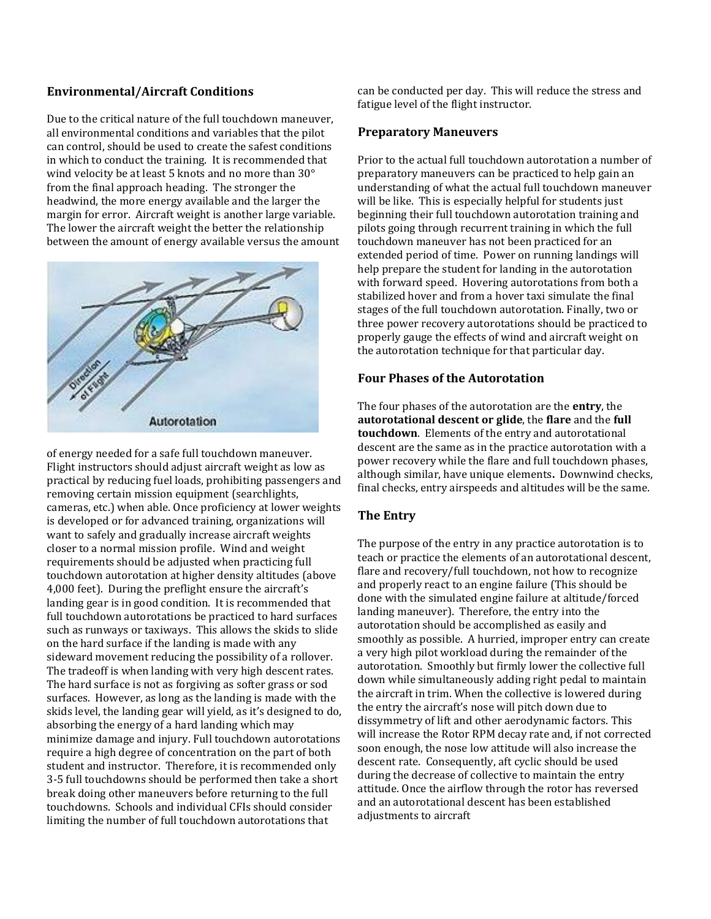### **Environmental/Aircraft Conditions**

Due to the critical nature of the full touchdown maneuver, all environmental conditions and variables that the pilot can control, should be used to create the safest conditions in which to conduct the training. It is recommended that wind velocity be at least 5 knots and no more than 30° from the final approach heading. The stronger the headwind, the more energy available and the larger the margin for error. Aircraft weight is another large variable. The lower the aircraft weight the better the relationship between the amount of energy available versus the amount



of energy needed for a safe full touchdown maneuver. Flight instructors should adjust aircraft weight as low as practical by reducing fuel loads, prohibiting passengers and removing certain mission equipment (searchlights, cameras, etc.) when able. Once proficiency at lower weights is developed or for advanced training, organizations will want to safely and gradually increase aircraft weights closer to a normal mission profile. Wind and weight requirements should be adjusted when practicing full touchdown autorotation at higher density altitudes (above 4,000 feet). During the preflight ensure the aircraft's landing gear is in good condition. It is recommended that full touchdown autorotations be practiced to hard surfaces such as runways or taxiways. This allows the skids to slide on the hard surface if the landing is made with any sideward movement reducing the possibility of a rollover. The tradeoff is when landing with very high descent rates. The hard surface is not as forgiving as softer grass or sod surfaces. However, as long as the landing is made with the skids level, the landing gear will yield, as it's designed to do, absorbing the energy of a hard landing which may minimize damage and injury. Full touchdown autorotations require a high degree of concentration on the part of both student and instructor. Therefore, it is recommended only 3-5 full touchdowns should be performed then take a short break doing other maneuvers before returning to the full touchdowns. Schools and individual CFIs should consider limiting the number of full touchdown autorotations that

can be conducted per day. This will reduce the stress and fatigue level of the flight instructor.

#### **Preparatory Maneuvers**

Prior to the actual full touchdown autorotation a number of preparatory maneuvers can be practiced to help gain an understanding of what the actual full touchdown maneuver will be like. This is especially helpful for students just beginning their full touchdown autorotation training and pilots going through recurrent training in which the full touchdown maneuver has not been practiced for an extended period of time. Power on running landings will help prepare the student for landing in the autorotation with forward speed. Hovering autorotations from both a stabilized hover and from a hover taxi simulate the final stages of the full touchdown autorotation. Finally, two or three power recovery autorotations should be practiced to properly gauge the effects of wind and aircraft weight on the autorotation technique for that particular day.

#### **Four Phases of the Autorotation**

The four phases of the autorotation are the **entry**, the **autorotational descent or glide**, the **flare** and the **full touchdown**. Elements of the entry and autorotational descent are the same as in the practice autorotation with a power recovery while the flare and full touchdown phases, although similar, have unique elements**.** Downwind checks, final checks, entry airspeeds and altitudes will be the same.

# **The Entry**

The purpose of the entry in any practice autorotation is to teach or practice the elements of an autorotational descent, flare and recovery/full touchdown, not how to recognize and properly react to an engine failure (This should be done with the simulated engine failure at altitude/forced landing maneuver). Therefore, the entry into the autorotation should be accomplished as easily and smoothly as possible. A hurried, improper entry can create a very high pilot workload during the remainder of the autorotation. Smoothly but firmly lower the collective full down while simultaneously adding right pedal to maintain the aircraft in trim. When the collective is lowered during the entry the aircraft's nose will pitch down due to dissymmetry of lift and other aerodynamic factors. This will increase the Rotor RPM decay rate and, if not corrected soon enough, the nose low attitude will also increase the descent rate. Consequently, aft cyclic should be used during the decrease of collective to maintain the entry attitude. Once the airflow through the rotor has reversed and an autorotational descent has been established adjustments to aircraft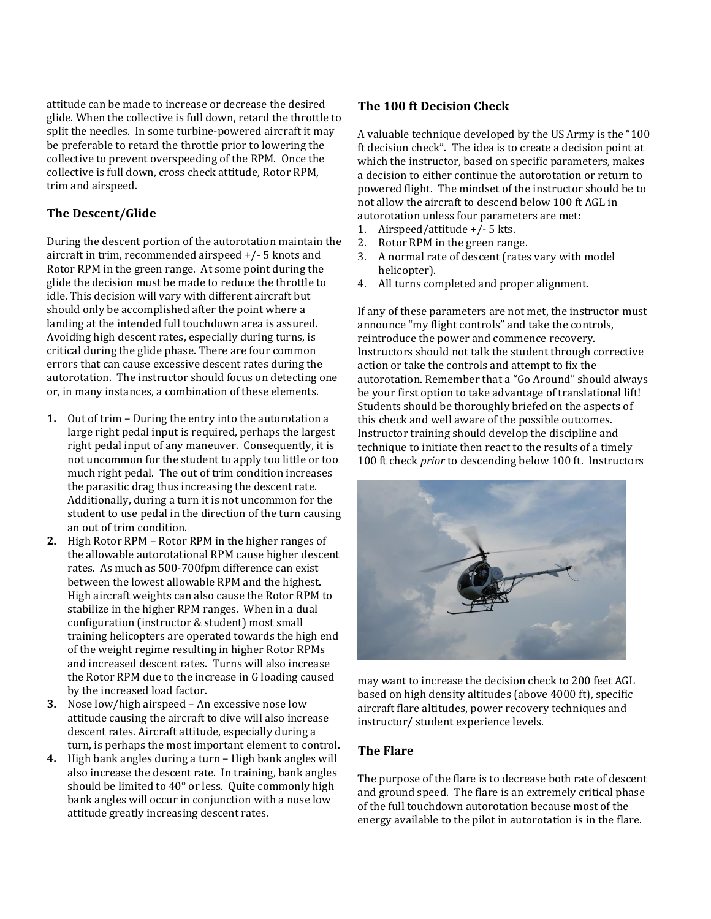attitude can be made to increase or decrease the desired glide. When the collective is full down, retard the throttle to split the needles. In some turbine-powered aircraft it may be preferable to retard the throttle prior to lowering the collective to prevent overspeeding of the RPM. Once the collective is full down, cross check attitude, Rotor RPM, trim and airspeed.

## **The Descent/Glide**

During the descent portion of the autorotation maintain the aircraft in trim, recommended airspeed +/- 5 knots and Rotor RPM in the green range. At some point during the glide the decision must be made to reduce the throttle to idle. This decision will vary with different aircraft but should only be accomplished after the point where a landing at the intended full touchdown area is assured. Avoiding high descent rates, especially during turns, is critical during the glide phase. There are four common errors that can cause excessive descent rates during the autorotation. The instructor should focus on detecting one or, in many instances, a combination of these elements.

- **1.** Out of trim During the entry into the autorotation a large right pedal input is required, perhaps the largest right pedal input of any maneuver. Consequently, it is not uncommon for the student to apply too little or too much right pedal. The out of trim condition increases the parasitic drag thus increasing the descent rate. Additionally, during a turn it is not uncommon for the student to use pedal in the direction of the turn causing an out of trim condition.
- **2.** High Rotor RPM Rotor RPM in the higher ranges of the allowable autorotational RPM cause higher descent rates. As much as 500-700fpm difference can exist between the lowest allowable RPM and the highest. High aircraft weights can also cause the Rotor RPM to stabilize in the higher RPM ranges. When in a dual configuration (instructor & student) most small training helicopters are operated towards the high end of the weight regime resulting in higher Rotor RPMs and increased descent rates. Turns will also increase the Rotor RPM due to the increase in G loading caused by the increased load factor.
- **3.** Nose low/high airspeed An excessive nose low attitude causing the aircraft to dive will also increase descent rates. Aircraft attitude, especially during a turn, is perhaps the most important element to control.
- **4.** High bank angles during a turn High bank angles will also increase the descent rate. In training, bank angles should be limited to 40° or less. Quite commonly high bank angles will occur in conjunction with a nose low attitude greatly increasing descent rates.

#### **The 100 ft Decision Check**

A valuable technique developed by the US Army is the "100 ft decision check". The idea is to create a decision point at which the instructor, based on specific parameters, makes a decision to either continue the autorotation or return to powered flight. The mindset of the instructor should be to not allow the aircraft to descend below 100 ft AGL in autorotation unless four parameters are met:

- 1. Airspeed/attitude +/- 5 kts.
- 2. Rotor RPM in the green range.
- 3. A normal rate of descent (rates vary with model helicopter).
- 4. All turns completed and proper alignment.

If any of these parameters are not met, the instructor must announce "my flight controls" and take the controls, reintroduce the power and commence recovery. Instructors should not talk the student through corrective action or take the controls and attempt to fix the autorotation. Remember that a "Go Around" should always be your first option to take advantage of translational lift! Students should be thoroughly briefed on the aspects of this check and well aware of the possible outcomes. Instructor training should develop the discipline and technique to initiate then react to the results of a timely 100 ft check *prior* to descending below 100 ft. Instructors



may want to increase the decision check to 200 feet AGL based on high density altitudes (above 4000 ft), specific aircraft flare altitudes, power recovery techniques and instructor/ student experience levels.

#### **The Flare**

The purpose of the flare is to decrease both rate of descent and ground speed. The flare is an extremely critical phase of the full touchdown autorotation because most of the energy available to the pilot in autorotation is in the flare.